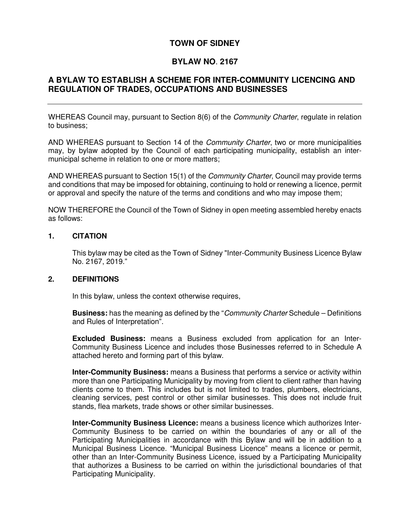#### **TOWN OF SIDNEY**

#### **BYLAW NO**. **2167**

# **A BYLAW TO ESTABLISH A SCHEME FOR INTER-COMMUNITY LICENCING AND REGULATION OF TRADES, OCCUPATIONS AND BUSINESSES**

WHEREAS Council may, pursuant to Section 8(6) of the *Community Charter*, regulate in relation to business;

AND WHEREAS pursuant to Section 14 of the *Community Charter*, two or more municipalities may, by bylaw adopted by the Council of each participating municipality, establish an intermunicipal scheme in relation to one or more matters;

AND WHEREAS pursuant to Section 15(1) of the *Community Charter*, Council may provide terms and conditions that may be imposed for obtaining, continuing to hold or renewing a licence, permit or approval and specify the nature of the terms and conditions and who may impose them;

NOW THEREFORE the Council of the Town of Sidney in open meeting assembled hereby enacts as follows:

#### **1. CITATION**

This bylaw may be cited as the Town of Sidney "Inter-Community Business Licence Bylaw No. 2167, 2019."

#### **2. DEFINITIONS**

In this bylaw, unless the context otherwise requires,

**Business:** has the meaning as defined by the "Community Charter Schedule – Definitions and Rules of Interpretation".

**Excluded Business:** means a Business excluded from application for an Inter-Community Business Licence and includes those Businesses referred to in Schedule A attached hereto and forming part of this bylaw.

**Inter-Community Business:** means a Business that performs a service or activity within more than one Participating Municipality by moving from client to client rather than having clients come to them. This includes but is not limited to trades, plumbers, electricians, cleaning services, pest control or other similar businesses. This does not include fruit stands, flea markets, trade shows or other similar businesses.

**Inter-Community Business Licence:** means a business licence which authorizes Inter-Community Business to be carried on within the boundaries of any or all of the Participating Municipalities in accordance with this Bylaw and will be in addition to a Municipal Business Licence. "Municipal Business Licence" means a licence or permit, other than an Inter-Community Business Licence, issued by a Participating Municipality that authorizes a Business to be carried on within the jurisdictional boundaries of that Participating Municipality.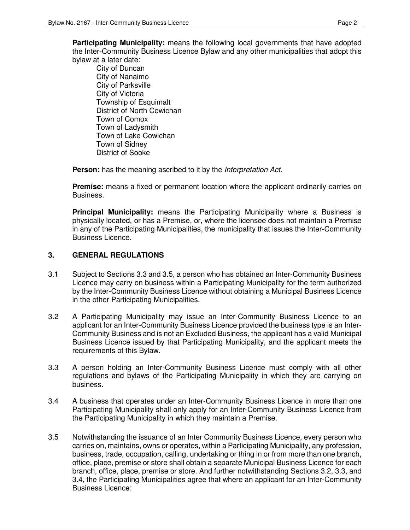**Participating Municipality:** means the following local governments that have adopted the Inter-Community Business Licence Bylaw and any other municipalities that adopt this bylaw at a later date:

City of Duncan City of Nanaimo City of Parksville City of Victoria Township of Esquimalt District of North Cowichan Town of Comox Town of Ladysmith Town of Lake Cowichan Town of Sidney District of Sooke

**Person:** has the meaning ascribed to it by the *Interpretation Act.* 

**Premise:** means a fixed or permanent location where the applicant ordinarily carries on Business.

**Principal Municipality:** means the Participating Municipality where a Business is physically located, or has a Premise, or, where the licensee does not maintain a Premise in any of the Participating Municipalities, the municipality that issues the Inter-Community Business Licence.

#### **3. GENERAL REGULATIONS**

- 3.1 Subject to Sections 3.3 and 3.5, a person who has obtained an Inter-Community Business Licence may carry on business within a Participating Municipality for the term authorized by the Inter-Community Business Licence without obtaining a Municipal Business Licence in the other Participating Municipalities.
- 3.2 A Participating Municipality may issue an Inter-Community Business Licence to an applicant for an Inter-Community Business Licence provided the business type is an Inter-Community Business and is not an Excluded Business, the applicant has a valid Municipal Business Licence issued by that Participating Municipality, and the applicant meets the requirements of this Bylaw.
- 3.3 A person holding an Inter-Community Business Licence must comply with all other regulations and bylaws of the Participating Municipality in which they are carrying on business.
- 3.4 A business that operates under an Inter-Community Business Licence in more than one Participating Municipality shall only apply for an Inter-Community Business Licence from the Participating Municipality in which they maintain a Premise.
- 3.5 Notwithstanding the issuance of an Inter Community Business Licence, every person who carries on, maintains, owns or operates, within a Participating Municipality, any profession, business, trade, occupation, calling, undertaking or thing in or from more than one branch, office, place, premise or store shall obtain a separate Municipal Business Licence for each branch, office, place, premise or store. And further notwithstanding Sections 3.2, 3.3, and 3.4, the Participating Municipalities agree that where an applicant for an Inter-Community Business Licence: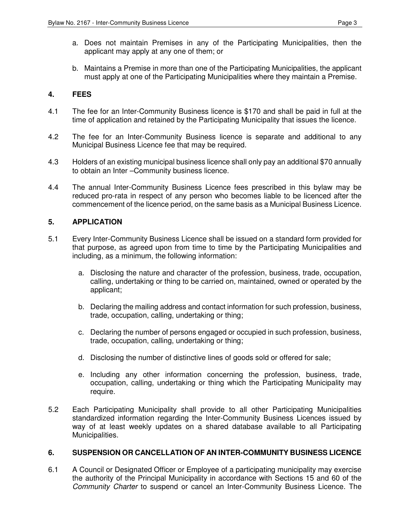- a. Does not maintain Premises in any of the Participating Municipalities, then the applicant may apply at any one of them; or
- b. Maintains a Premise in more than one of the Participating Municipalities, the applicant must apply at one of the Participating Municipalities where they maintain a Premise.

# **4. FEES**

- 4.1 The fee for an Inter-Community Business licence is \$170 and shall be paid in full at the time of application and retained by the Participating Municipality that issues the licence.
- 4.2 The fee for an Inter-Community Business licence is separate and additional to any Municipal Business Licence fee that may be required.
- 4.3 Holders of an existing municipal business licence shall only pay an additional \$70 annually to obtain an Inter –Community business licence.
- 4.4 The annual Inter-Community Business Licence fees prescribed in this bylaw may be reduced pro-rata in respect of any person who becomes liable to be licenced after the commencement of the licence period, on the same basis as a Municipal Business Licence.

# **5. APPLICATION**

- 5.1 Every Inter-Community Business Licence shall be issued on a standard form provided for that purpose, as agreed upon from time to time by the Participating Municipalities and including, as a minimum, the following information:
	- a. Disclosing the nature and character of the profession, business, trade, occupation, calling, undertaking or thing to be carried on, maintained, owned or operated by the applicant;
	- b. Declaring the mailing address and contact information for such profession, business, trade, occupation, calling, undertaking or thing;
	- c. Declaring the number of persons engaged or occupied in such profession, business, trade, occupation, calling, undertaking or thing;
	- d. Disclosing the number of distinctive lines of goods sold or offered for sale;
	- e. Including any other information concerning the profession, business, trade, occupation, calling, undertaking or thing which the Participating Municipality may require.
- 5.2 Each Participating Municipality shall provide to all other Participating Municipalities standardized information regarding the Inter-Community Business Licences issued by way of at least weekly updates on a shared database available to all Participating Municipalities.

# **6. SUSPENSION OR CANCELLATION OF AN INTER-COMMUNITY BUSINESS LICENCE**

6.1 A Council or Designated Officer or Employee of a participating municipality may exercise the authority of the Principal Municipality in accordance with Sections 15 and 60 of the Community Charter to suspend or cancel an Inter-Community Business Licence. The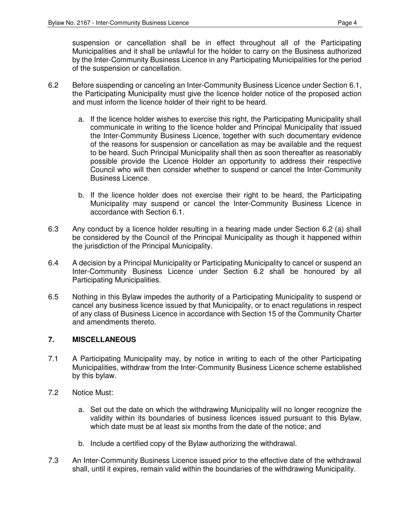suspension or cancellation shall be in effect throughout all of the Participating Municipalities and it shall be unlawful for the holder to carry on the Business authorized by the Inter-Community Business Licence in any Participating Municipalities for the period of the suspension or cancellation.

- 6.2 Before suspending or canceling an Inter-Community Business Licence under Section 6.1, the Participating Municipality must give the licence holder notice of the proposed action and must inform the licence holder of their right to be heard.
	- a. If the licence holder wishes to exercise this right, the Participating Municipality shall communicate in writing to the licence holder and Principal Municipality that issued the Inter-Community Business Licence, together with such documentary evidence of the reasons for suspension or cancellation as may be available and the request to be heard. Such Principal Municipality shall then as soon thereafter as reasonably possible provide the Licence Holder an opportunity to address their respective Council who will then consider whether to suspend or cancel the Inter-Community Business Licence.
	- b. If the licence holder does not exercise their right to be heard, the Participating Municipality may suspend or cancel the Inter-Community Business Licence in accordance with Section 6.1.
- 6.3 Any conduct by a licence holder resulting in a hearing made under Section 6.2 (a) shall be considered by the Council of the Principal Municipality as though it happened within the jurisdiction of the Principal Municipality.
- 6.4 A decision by a Principal Municipality or Participating Municipality to cancel or suspend an Inter-Community Business Licence under Section 6.2 shall be honoured by all Participating Municipalities.
- 6.5 Nothing in this Bylaw impedes the authority of a Participating Municipality to suspend or cancel any business licence issued by that Municipality, or to enact regulations in respect of any class of Business Licence in accordance with Section 15 of the Community Charter and amendments thereto.

# **7. MISCELLANEOUS**

- 7.1 A Participating Municipality may, by notice in writing to each of the other Participating Municipalities, withdraw from the Inter-Community Business Licence scheme established by this bylaw.
- 7.2 Notice Must:
	- a. Set out the date on which the withdrawing Municipality will no longer recognize the validity within its boundaries of business licences issued pursuant to this Bylaw, which date must be at least six months from the date of the notice; and
	- b. Include a certified copy of the Bylaw authorizing the withdrawal.
- 7.3 An Inter-Community Business Licence issued prior to the effective date of the withdrawal shall, until it expires, remain valid within the boundaries of the withdrawing Municipality.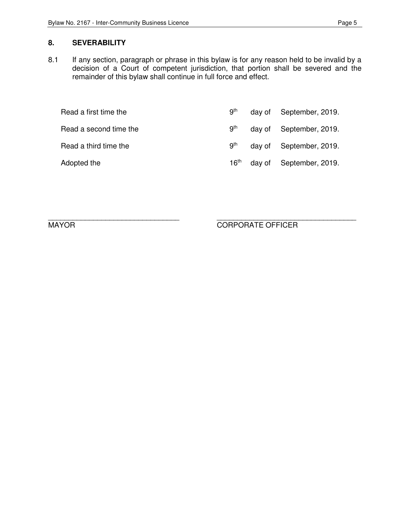# **8. SEVERABILITY**

8.1 If any section, paragraph or phrase in this bylaw is for any reason held to be invalid by a decision of a Court of competent jurisdiction, that portion shall be severed and the remainder of this bylaw shall continue in full force and effect.

| Read a first time the  | .9 <sup>th</sup> | day of | September, 2019.        |
|------------------------|------------------|--------|-------------------------|
| Read a second time the | .gth             |        | day of September, 2019. |
| Read a third time the  | 9 <sup>th</sup>  |        | day of September, 2019. |
| Adopted the            | 16 <sup>th</sup> |        | day of September, 2019. |

\_\_\_\_\_\_\_\_\_\_\_\_\_\_\_\_\_\_\_\_\_\_\_\_\_\_\_\_\_\_\_\_ \_\_\_\_\_\_\_\_\_\_\_\_\_\_\_\_\_\_\_\_\_\_\_\_\_\_\_\_\_\_\_\_\_\_ MAYOR CORPORATE OFFICER